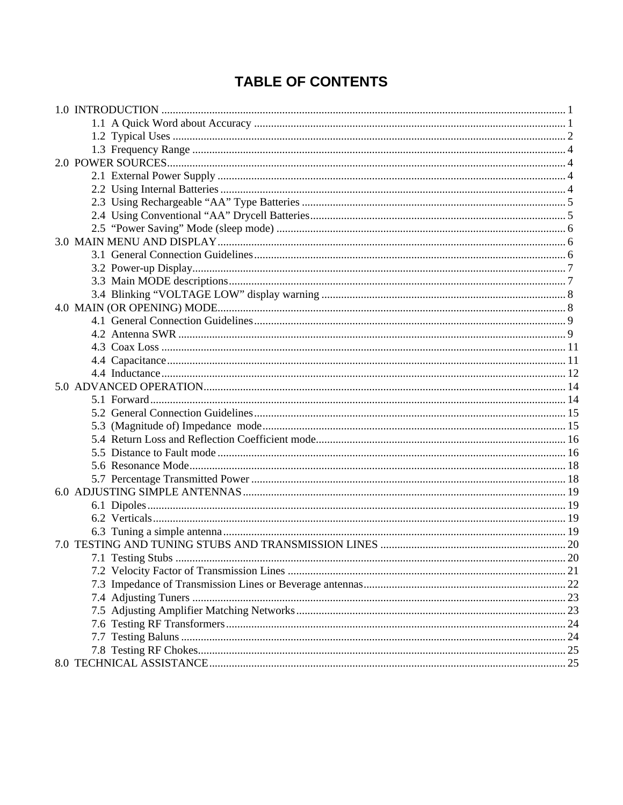# **TABLE OF CONTENTS**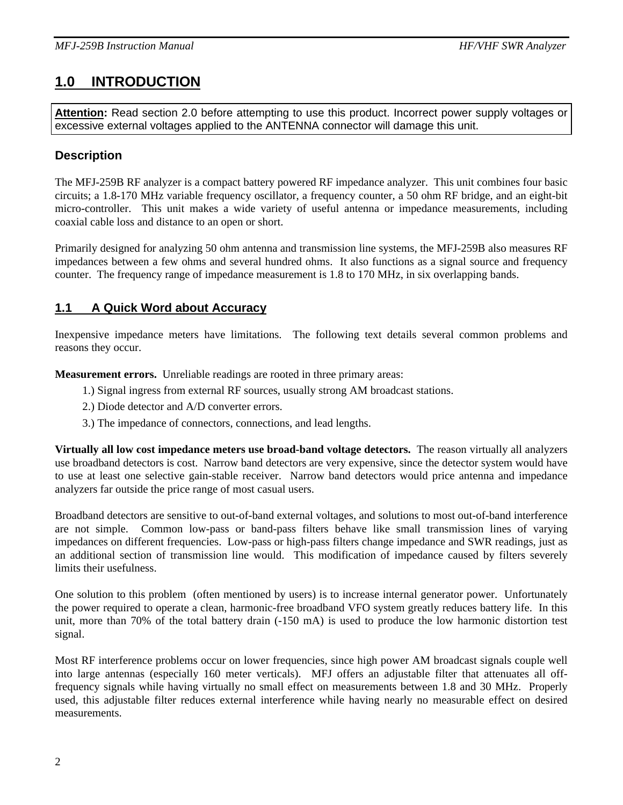# **1.0 INTRODUCTION**

**Attention:** Read section 2.0 before attempting to use this product. Incorrect power supply voltages or excessive external voltages applied to the ANTENNA connector will damage this unit.

# **Description**

The MFJ-259B RF analyzer is a compact battery powered RF impedance analyzer. This unit combines four basic circuits; a 1.8-170 MHz variable frequency oscillator, a frequency counter, a 50 ohm RF bridge, and an eight-bit micro-controller. This unit makes a wide variety of useful antenna or impedance measurements, including coaxial cable loss and distance to an open or short.

Primarily designed for analyzing 50 ohm antenna and transmission line systems, the MFJ-259B also measures RF impedances between a few ohms and several hundred ohms. It also functions as a signal source and frequency counter. The frequency range of impedance measurement is 1.8 to 170 MHz, in six overlapping bands.

# **1.1 A Quick Word about Accuracy**

Inexpensive impedance meters have limitations. The following text details several common problems and reasons they occur.

**Measurement errors.** Unreliable readings are rooted in three primary areas:

- 1.) Signal ingress from external RF sources, usually strong AM broadcast stations.
- 2.) Diode detector and A/D converter errors.
- 3.) The impedance of connectors, connections, and lead lengths.

**Virtually all low cost impedance meters use broad-band voltage detectors.** The reason virtually all analyzers use broadband detectors is cost. Narrow band detectors are very expensive, since the detector system would have to use at least one selective gain-stable receiver. Narrow band detectors would price antenna and impedance analyzers far outside the price range of most casual users.

Broadband detectors are sensitive to out-of-band external voltages, and solutions to most out-of-band interference are not simple. Common low-pass or band-pass filters behave like small transmission lines of varying impedances on different frequencies. Low-pass or high-pass filters change impedance and SWR readings, just as an additional section of transmission line would. This modification of impedance caused by filters severely limits their usefulness.

One solution to this problem (often mentioned by users) is to increase internal generator power. Unfortunately the power required to operate a clean, harmonic-free broadband VFO system greatly reduces battery life. In this unit, more than 70% of the total battery drain (-150 mA) is used to produce the low harmonic distortion test signal.

Most RF interference problems occur on lower frequencies, since high power AM broadcast signals couple well into large antennas (especially 160 meter verticals). MFJ offers an adjustable filter that attenuates all offfrequency signals while having virtually no small effect on measurements between 1.8 and 30 MHz. Properly used, this adjustable filter reduces external interference while having nearly no measurable effect on desired measurements.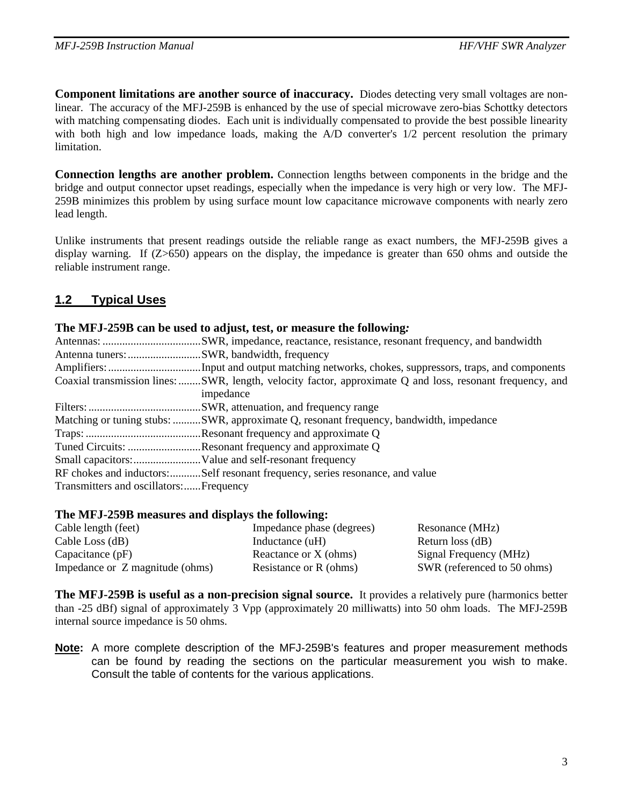**Component limitations are another source of inaccuracy.** Diodes detecting very small voltages are nonlinear. The accuracy of the MFJ-259B is enhanced by the use of special microwave zero-bias Schottky detectors with matching compensating diodes. Each unit is individually compensated to provide the best possible linearity with both high and low impedance loads, making the A/D converter's  $1/2$  percent resolution the primary limitation.

**Connection lengths are another problem.** Connection lengths between components in the bridge and the bridge and output connector upset readings, especially when the impedance is very high or very low. The MFJ-259B minimizes this problem by using surface mount low capacitance microwave components with nearly zero lead length.

Unlike instruments that present readings outside the reliable range as exact numbers, the MFJ-259B gives a display warning. If (Z>650) appears on the display, the impedance is greater than 650 ohms and outside the reliable instrument range.

# **1.2 Typical Uses**

### **The MFJ-259B can be used to adjust, test, or measure the following***:* Antennas: ...................................SWR, impedance, reactance, resistance, resonant frequency, and bandwidth Antenna tuners:..........................SWR, bandwidth, frequency Amplifiers:.................................Input and output matching networks, chokes, suppressors, traps, and components Coaxial transmission lines:........SWR, length, velocity factor, approximate Q and loss, resonant frequency, and impedance Filters:........................................SWR, attenuation, and frequency range Matching or tuning stubs: ..........SWR, approximate Q, resonant frequency, bandwidth, impedance Traps: .........................................Resonant frequency and approximate Q Tuned Circuits: ..........................Resonant frequency and approximate Q Small capacitors:........................Value and self-resonant frequency RF chokes and inductors:...........Self resonant frequency, series resonance, and value Transmitters and oscillators:......Frequency

### **The MFJ-259B measures and displays the following:**

| Cable length (feet)             | Impedance phase (degrees) | Resonance (MHz)             |
|---------------------------------|---------------------------|-----------------------------|
| Cable Loss $(dB)$               | Inductance (uH)           | Return loss (dB)            |
| Capacitance $(pF)$              | Reactance or X (ohms)     | Signal Frequency (MHz)      |
| Impedance or Z magnitude (ohms) | Resistance or R (ohms)    | SWR (referenced to 50 ohms) |

**The MFJ-259B is useful as a non-precision signal source.** It provides a relatively pure (harmonics better than -25 dBf) signal of approximately 3 Vpp (approximately 20 milliwatts) into 50 ohm loads. The MFJ-259B internal source impedance is 50 ohms.

**Note:** A more complete description of the MFJ-259B's features and proper measurement methods can be found by reading the sections on the particular measurement you wish to make. Consult the table of contents for the various applications.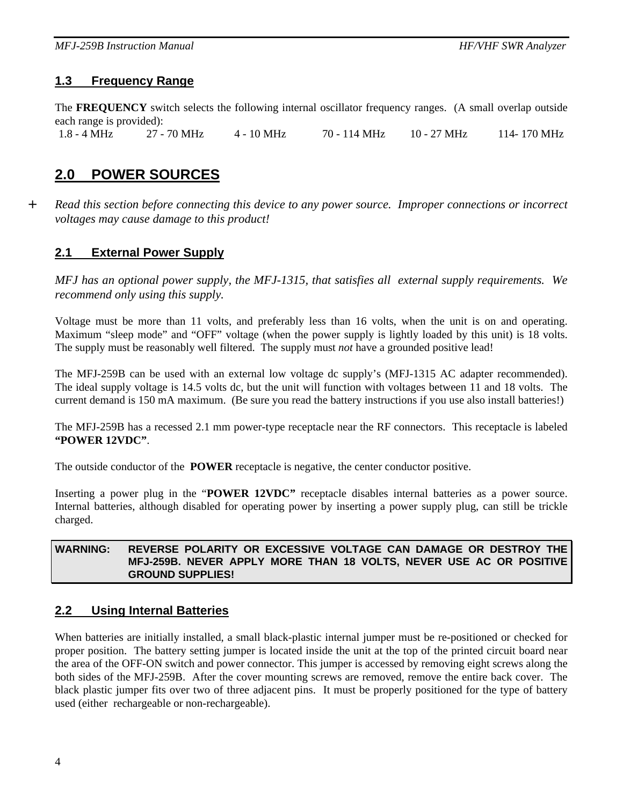# **1.3 Frequency Range**

The **FREQUENCY** switch selects the following internal oscillator frequency ranges. (A small overlap outside each range is provided):

1.8 - 4 MHz 27 - 70 MHz 4 - 10 MHz 70 - 114 MHz 10 - 27 MHz 114- 170 MHz

# **2.0 POWER SOURCES**

*+ Read this section before connecting this device to any power source. Improper connections or incorrect voltages may cause damage to this product!*

# **2.1 External Power Supply**

*MFJ has an optional power supply, the MFJ-1315, that satisfies all external supply requirements. We recommend only using this supply.*

Voltage must be more than 11 volts, and preferably less than 16 volts, when the unit is on and operating. Maximum "sleep mode" and "OFF" voltage (when the power supply is lightly loaded by this unit) is 18 volts. The supply must be reasonably well filtered. The supply must *not* have a grounded positive lead!

The MFJ-259B can be used with an external low voltage dc supply's (MFJ-1315 AC adapter recommended). The ideal supply voltage is 14.5 volts dc, but the unit will function with voltages between 11 and 18 volts. The current demand is 150 mA maximum. (Be sure you read the battery instructions if you use also install batteries!)

The MFJ-259B has a recessed 2.1 mm power-type receptacle near the RF connectors. This receptacle is labeled **"POWER 12VDC"**.

The outside conductor of the **POWER** receptacle is negative, the center conductor positive.

Inserting a power plug in the "**POWER 12VDC"** receptacle disables internal batteries as a power source. Internal batteries, although disabled for operating power by inserting a power supply plug, can still be trickle charged.

### **WARNING: REVERSE POLARITY OR EXCESSIVE VOLTAGE CAN DAMAGE OR DESTROY THE MFJ-259B. NEVER APPLY MORE THAN 18 VOLTS, NEVER USE AC OR POSITIVE GROUND SUPPLIES!**

# **2.2 Using Internal Batteries**

When batteries are initially installed, a small black-plastic internal jumper must be re-positioned or checked for proper position. The battery setting jumper is located inside the unit at the top of the printed circuit board near the area of the OFF-ON switch and power connector. This jumper is accessed by removing eight screws along the both sides of the MFJ-259B. After the cover mounting screws are removed, remove the entire back cover. The black plastic jumper fits over two of three adjacent pins. It must be properly positioned for the type of battery used (either rechargeable or non-rechargeable).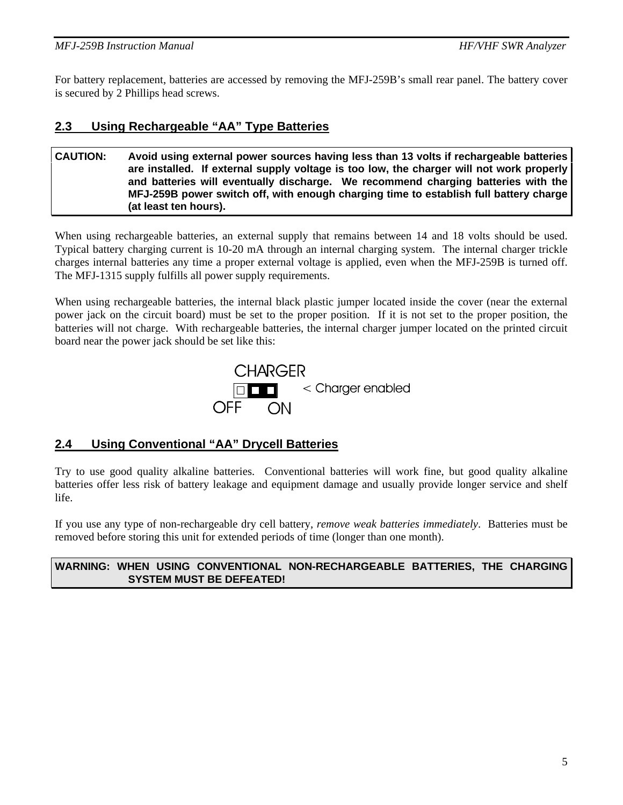For battery replacement, batteries are accessed by removing the MFJ-259B's small rear panel. The battery cover is secured by 2 Phillips head screws.

# **2.3 Using Rechargeable "AA" Type Batteries**

### **CAUTION: Avoid using external power sources having less than 13 volts if rechargeable batteries are installed. If external supply voltage is too low, the charger will not work properly and batteries will eventually discharge. We recommend charging batteries with the MFJ-259B power switch off, with enough charging time to establish full battery charge (at least ten hours).**

When using rechargeable batteries, an external supply that remains between 14 and 18 volts should be used. Typical battery charging current is 10-20 mA through an internal charging system. The internal charger trickle charges internal batteries any time a proper external voltage is applied, even when the MFJ-259B is turned off. The MFJ-1315 supply fulfills all power supply requirements.

When using rechargeable batteries, the internal black plastic jumper located inside the cover (near the external power jack on the circuit board) must be set to the proper position. If it is not set to the proper position, the batteries will not charge. With rechargeable batteries, the internal charger jumper located on the printed circuit board near the power jack should be set like this:



# **2.4 Using Conventional "AA" Drycell Batteries**

Try to use good quality alkaline batteries. Conventional batteries will work fine, but good quality alkaline batteries offer less risk of battery leakage and equipment damage and usually provide longer service and shelf life.

If you use any type of non-rechargeable dry cell battery, *remove weak batteries immediately*. Batteries must be removed before storing this unit for extended periods of time (longer than one month).

### **WARNING: WHEN USING CONVENTIONAL NON-RECHARGEABLE BATTERIES, THE CHARGING SYSTEM MUST BE DEFEATED!**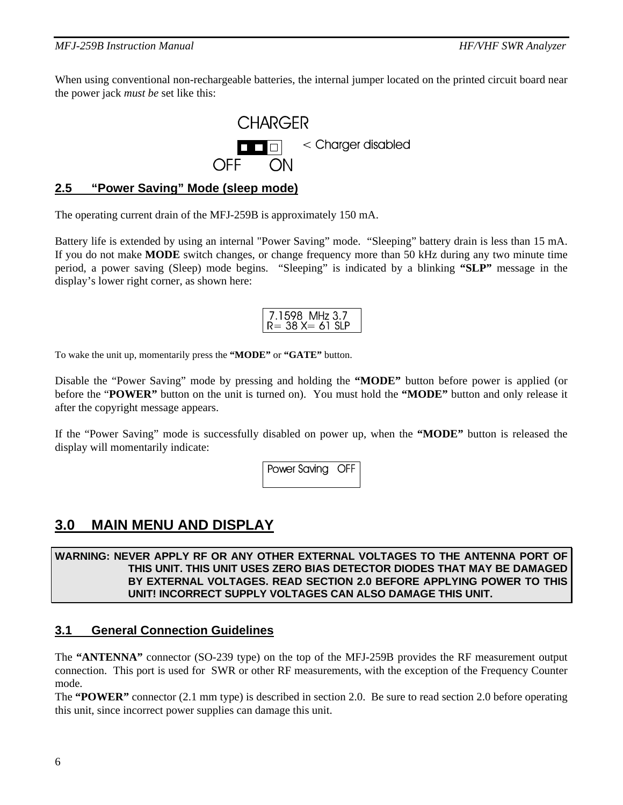When using conventional non-rechargeable batteries, the internal jumper located on the printed circuit board near the power jack *must be* set like this:



# **2.5 "Power Saving" Mode (sleep mode)**

The operating current drain of the MFJ-259B is approximately 150 mA.

Battery life is extended by using an internal "Power Saving" mode. "Sleeping" battery drain is less than 15 mA. If you do not make **MODE** switch changes, or change frequency more than 50 kHz during any two minute time period, a power saving (Sleep) mode begins. "Sleeping" is indicated by a blinking **"SLP"** message in the display's lower right corner, as shown here:

To wake the unit up, momentarily press the **"MODE"** or **"GATE"** button.

Disable the "Power Saving" mode by pressing and holding the **"MODE"** button before power is applied (or before the "**POWER"** button on the unit is turned on). You must hold the **"MODE"** button and only release it after the copyright message appears.

If the "Power Saving" mode is successfully disabled on power up, when the **"MODE"** button is released the display will momentarily indicate:

Power Saving OFF

# **3.0 MAIN MENU AND DISPLAY**

#### **WARNING: NEVER APPLY RF OR ANY OTHER EXTERNAL VOLTAGES TO THE ANTENNA PORT OF THIS UNIT. THIS UNIT USES ZERO BIAS DETECTOR DIODES THAT MAY BE DAMAGED BY EXTERNAL VOLTAGES. READ SECTION 2.0 BEFORE APPLYING POWER TO THIS UNIT! INCORRECT SUPPLY VOLTAGES CAN ALSO DAMAGE THIS UNIT.**

# **3.1 General Connection Guidelines**

The **"ANTENNA"** connector (SO-239 type) on the top of the MFJ-259B provides the RF measurement output connection. This port is used for SWR or other RF measurements, with the exception of the Frequency Counter mode.

The **"POWER"** connector (2.1 mm type) is described in section 2.0. Be sure to read section 2.0 before operating this unit, since incorrect power supplies can damage this unit.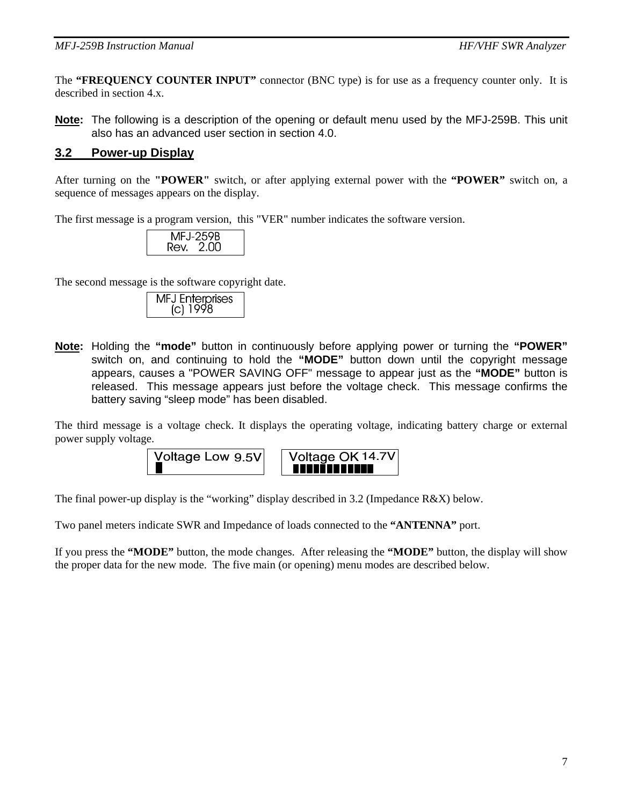The "FREQUENCY COUNTER INPUT" connector (BNC type) is for use as a frequency counter only. It is described in section 4.x.

**Note:** The following is a description of the opening or default menu used by the MFJ-259B. This unit also has an advanced user section in section 4.0.

# **3.2 Power-up Display**

After turning on the **"POWER"** switch, or after applying external power with the **"POWER"** switch on, a sequence of messages appears on the display.

The first message is a program version, this "VER" number indicates the software version.

| <b>MFJ-259B</b><br>Rev. 2.00 |
|------------------------------|
|                              |

The second message is the software copyright date.

| <b>MFJ Enterprises</b><br>$(C)$ 1998 |
|--------------------------------------|
|--------------------------------------|

**Note:** Holding the **"mode"** button in continuously before applying power or turning the **"POWER"** switch on, and continuing to hold the **"MODE"** button down until the copyright message appears, causes a "POWER SAVING OFF" message to appear just as the **"MODE"** button is released. This message appears just before the voltage check. This message confirms the battery saving "sleep mode" has been disabled.

The third message is a voltage check. It displays the operating voltage, indicating battery charge or external power supply voltage.

Voltage Low 9.5V

Voltage OK 14.7V <u>TETTŠE TETTET</u>

The final power-up display is the "working" display described in 3.2 (Impedance R&X) below.

Two panel meters indicate SWR and Impedance of loads connected to the **"ANTENNA"** port.

If you press the **"MODE"** button, the mode changes. After releasing the **"MODE"** button, the display will show the proper data for the new mode. The five main (or opening) menu modes are described below.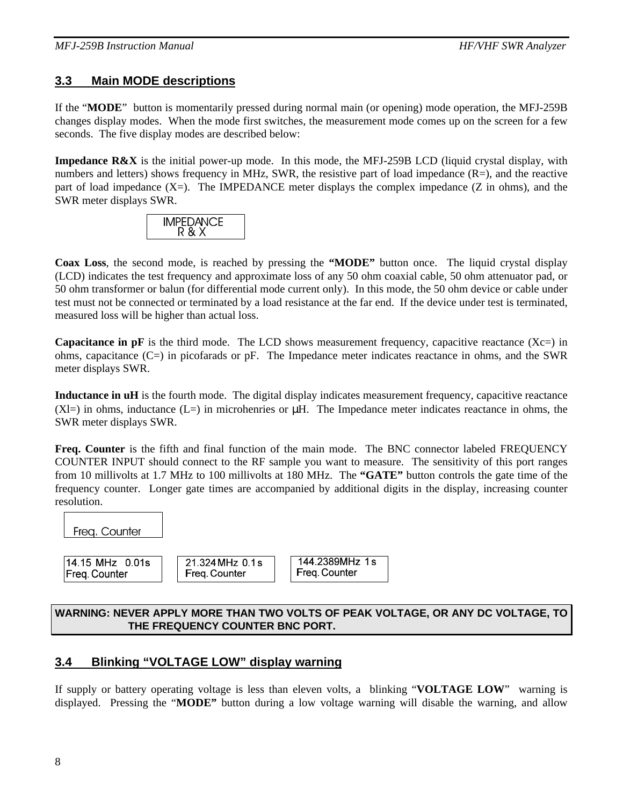# **3.3 Main MODE descriptions**

If the "**MODE**" button is momentarily pressed during normal main (or opening) mode operation, the MFJ-259B changes display modes. When the mode first switches, the measurement mode comes up on the screen for a few seconds. The five display modes are described below:

**Impedance R&X** is the initial power-up mode. In this mode, the MFJ-259B LCD (liquid crystal display, with numbers and letters) shows frequency in MHz, SWR, the resistive part of load impedance  $(R=)$ , and the reactive part of load impedance  $(X=)$ . The IMPEDANCE meter displays the complex impedance  $(Z$  in ohms), and the SWR meter displays SWR.

**Coax Loss**, the second mode, is reached by pressing the **"MODE"** button once. The liquid crystal display (LCD) indicates the test frequency and approximate loss of any 50 ohm coaxial cable, 50 ohm attenuator pad, or 50 ohm transformer or balun (for differential mode current only). In this mode, the 50 ohm device or cable under test must not be connected or terminated by a load resistance at the far end. If the device under test is terminated, measured loss will be higher than actual loss.

**Capacitance in pF** is the third mode. The LCD shows measurement frequency, capacitive reactance  $(Xc=)$  in ohms, capacitance  $(C=)$  in picofarads or pF. The Impedance meter indicates reactance in ohms, and the SWR meter displays SWR.

**Inductance in uH** is the fourth mode. The digital display indicates measurement frequency, capacitive reactance  $(X<sup>l</sup>=)$  in ohms, inductance  $(L=)$  in microhenries or  $\mu$ H. The Impedance meter indicates reactance in ohms, the SWR meter displays SWR.

**Freq. Counter** is the fifth and final function of the main mode. The BNC connector labeled FREQUENCY COUNTER INPUT should connect to the RF sample you want to measure. The sensitivity of this port ranges from 10 millivolts at 1.7 MHz to 100 millivolts at 180 MHz. The **"GATE"** button controls the gate time of the frequency counter. Longer gate times are accompanied by additional digits in the display, increasing counter resolution.



### **WARNING: NEVER APPLY MORE THAN TWO VOLTS OF PEAK VOLTAGE, OR ANY DC VOLTAGE, TO THE FREQUENCY COUNTER BNC PORT.**

# **3.4 Blinking "VOLTAGE LOW" display warning**

If supply or battery operating voltage is less than eleven volts, a blinking "**VOLTAGE LOW**" warning is displayed. Pressing the "**MODE"** button during a low voltage warning will disable the warning, and allow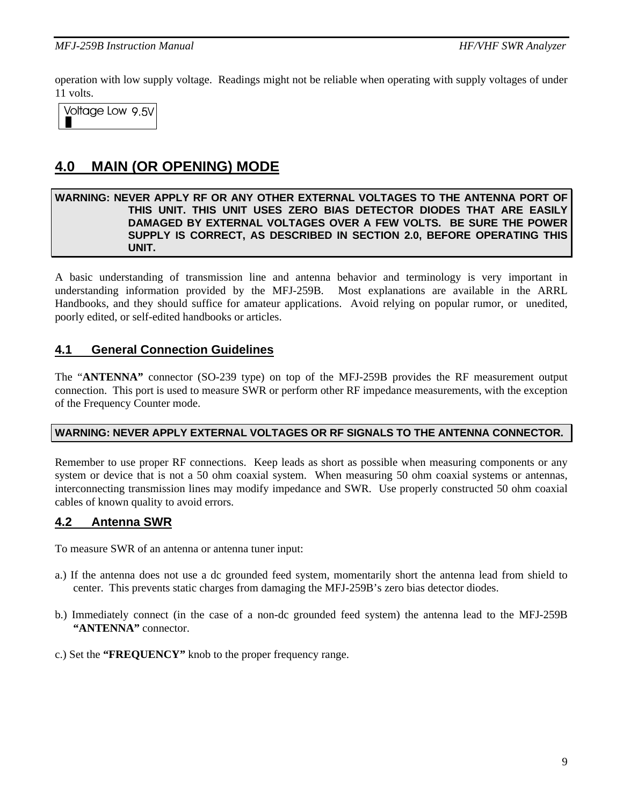operation with low supply voltage. Readings might not be reliable when operating with supply voltages of under 11 volts.



# **4.0 MAIN (OR OPENING) MODE**

### **WARNING: NEVER APPLY RF OR ANY OTHER EXTERNAL VOLTAGES TO THE ANTENNA PORT OF THIS UNIT. THIS UNIT USES ZERO BIAS DETECTOR DIODES THAT ARE EASILY DAMAGED BY EXTERNAL VOLTAGES OVER A FEW VOLTS. BE SURE THE POWER SUPPLY IS CORRECT, AS DESCRIBED IN SECTION 2.0, BEFORE OPERATING THIS UNIT.**

A basic understanding of transmission line and antenna behavior and terminology is very important in understanding information provided by the MFJ-259B. Most explanations are available in the ARRL Handbooks, and they should suffice for amateur applications. Avoid relying on popular rumor, or unedited, poorly edited, or self-edited handbooks or articles.

# **4.1 General Connection Guidelines**

The "**ANTENNA"** connector (SO-239 type) on top of the MFJ-259B provides the RF measurement output connection. This port is used to measure SWR or perform other RF impedance measurements, with the exception of the Frequency Counter mode.

### **WARNING: NEVER APPLY EXTERNAL VOLTAGES OR RF SIGNALS TO THE ANTENNA CONNECTOR.**

Remember to use proper RF connections. Keep leads as short as possible when measuring components or any system or device that is not a 50 ohm coaxial system. When measuring 50 ohm coaxial systems or antennas, interconnecting transmission lines may modify impedance and SWR. Use properly constructed 50 ohm coaxial cables of known quality to avoid errors.

# **4.2 Antenna SWR**

To measure SWR of an antenna or antenna tuner input:

- a.) If the antenna does not use a dc grounded feed system, momentarily short the antenna lead from shield to center. This prevents static charges from damaging the MFJ-259B's zero bias detector diodes.
- b.) Immediately connect (in the case of a non-dc grounded feed system) the antenna lead to the MFJ-259B **"ANTENNA"** connector.
- c.) Set the **"FREQUENCY"** knob to the proper frequency range.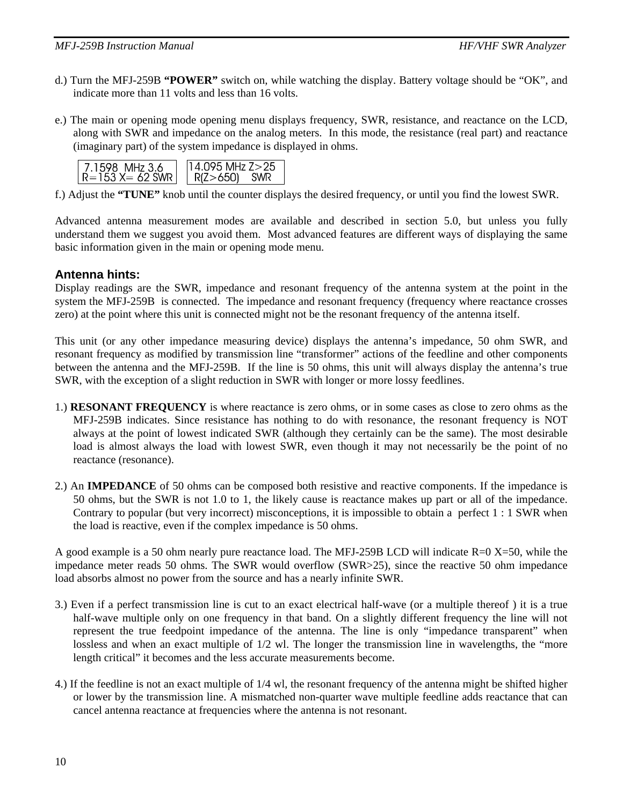- d.) Turn the MFJ-259B **"POWER"** switch on, while watching the display. Battery voltage should be "OK", and indicate more than 11 volts and less than 16 volts.
- e.) The main or opening mode opening menu displays frequency, SWR, resistance, and reactance on the LCD, along with SWR and impedance on the analog meters. In this mode, the resistance (real part) and reactance (imaginary part) of the system impedance is displayed in ohms.

| 7.1598 MHz 3.6         | $14.095$ MHz 7 $>$ 25 |
|------------------------|-----------------------|
| $R = 153$ $X = 62$ SWR | $R(Z>650)$ SWR        |

f.) Adjust the **"TUNE"** knob until the counter displays the desired frequency, or until you find the lowest SWR.

Advanced antenna measurement modes are available and described in section 5.0, but unless you fully understand them we suggest you avoid them. Most advanced features are different ways of displaying the same basic information given in the main or opening mode menu.

### **Antenna hints:**

Display readings are the SWR, impedance and resonant frequency of the antenna system at the point in the system the MFJ-259B is connected. The impedance and resonant frequency (frequency where reactance crosses zero) at the point where this unit is connected might not be the resonant frequency of the antenna itself.

This unit (or any other impedance measuring device) displays the antenna's impedance, 50 ohm SWR, and resonant frequency as modified by transmission line "transformer" actions of the feedline and other components between the antenna and the MFJ-259B. If the line is 50 ohms, this unit will always display the antenna's true SWR, with the exception of a slight reduction in SWR with longer or more lossy feedlines.

- 1.) **RESONANT FREQUENCY** is where reactance is zero ohms, or in some cases as close to zero ohms as the MFJ-259B indicates. Since resistance has nothing to do with resonance, the resonant frequency is NOT always at the point of lowest indicated SWR (although they certainly can be the same). The most desirable load is almost always the load with lowest SWR, even though it may not necessarily be the point of no reactance (resonance).
- 2.) An **IMPEDANCE** of 50 ohms can be composed both resistive and reactive components. If the impedance is 50 ohms, but the SWR is not 1.0 to 1, the likely cause is reactance makes up part or all of the impedance. Contrary to popular (but very incorrect) misconceptions, it is impossible to obtain a perfect 1 : 1 SWR when the load is reactive, even if the complex impedance is 50 ohms.

A good example is a 50 ohm nearly pure reactance load. The MFJ-259B LCD will indicate  $R=0$  X=50, while the impedance meter reads 50 ohms. The SWR would overflow (SWR>25), since the reactive 50 ohm impedance load absorbs almost no power from the source and has a nearly infinite SWR.

- 3.) Even if a perfect transmission line is cut to an exact electrical half-wave (or a multiple thereof ) it is a true half-wave multiple only on one frequency in that band. On a slightly different frequency the line will not represent the true feedpoint impedance of the antenna. The line is only "impedance transparent" when lossless and when an exact multiple of  $1/2$  wl. The longer the transmission line in wavelengths, the "more length critical" it becomes and the less accurate measurements become.
- 4.) If the feedline is not an exact multiple of 1/4 wl, the resonant frequency of the antenna might be shifted higher or lower by the transmission line. A mismatched non-quarter wave multiple feedline adds reactance that can cancel antenna reactance at frequencies where the antenna is not resonant.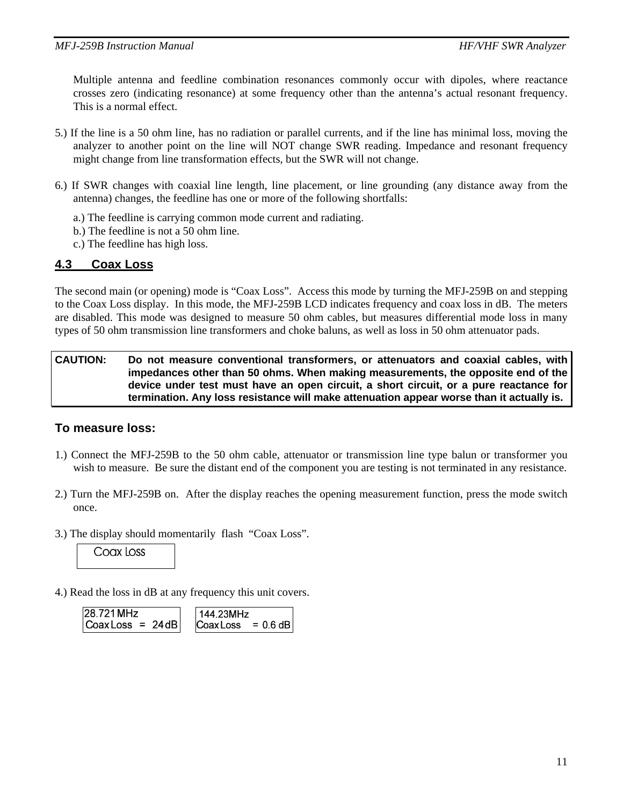Multiple antenna and feedline combination resonances commonly occur with dipoles, where reactance crosses zero (indicating resonance) at some frequency other than the antenna's actual resonant frequency. This is a normal effect.

- 5.) If the line is a 50 ohm line, has no radiation or parallel currents, and if the line has minimal loss, moving the analyzer to another point on the line will NOT change SWR reading. Impedance and resonant frequency might change from line transformation effects, but the SWR will not change.
- 6.) If SWR changes with coaxial line length, line placement, or line grounding (any distance away from the antenna) changes, the feedline has one or more of the following shortfalls:
	- a.) The feedline is carrying common mode current and radiating.
	- b.) The feedline is not a 50 ohm line.
	- c.) The feedline has high loss.

# **4.3 Coax Loss**

The second main (or opening) mode is "Coax Loss". Access this mode by turning the MFJ-259B on and stepping to the Coax Loss display. In this mode, the MFJ-259B LCD indicates frequency and coax loss in dB. The meters are disabled. This mode was designed to measure 50 ohm cables, but measures differential mode loss in many types of 50 ohm transmission line transformers and choke baluns, as well as loss in 50 ohm attenuator pads.

### **CAUTION: Do not measure conventional transformers, or attenuators and coaxial cables, with impedances other than 50 ohms. When making measurements, the opposite end of the device under test must have an open circuit, a short circuit, or a pure reactance for termination. Any loss resistance will make attenuation appear worse than it actually is.**

### **To measure loss:**

- 1.) Connect the MFJ-259B to the 50 ohm cable, attenuator or transmission line type balun or transformer you wish to measure. Be sure the distant end of the component you are testing is not terminated in any resistance.
- 2.) Turn the MFJ-259B on. After the display reaches the opening measurement function, press the mode switch once.
- 3.) The display should momentarily flash "Coax Loss".

Coax Loss

4.) Read the loss in dB at any frequency this unit covers.

$$
28.721 MHz\nCoaxLoss = 24 dB\nCoaxLoss = 0.6 dB
$$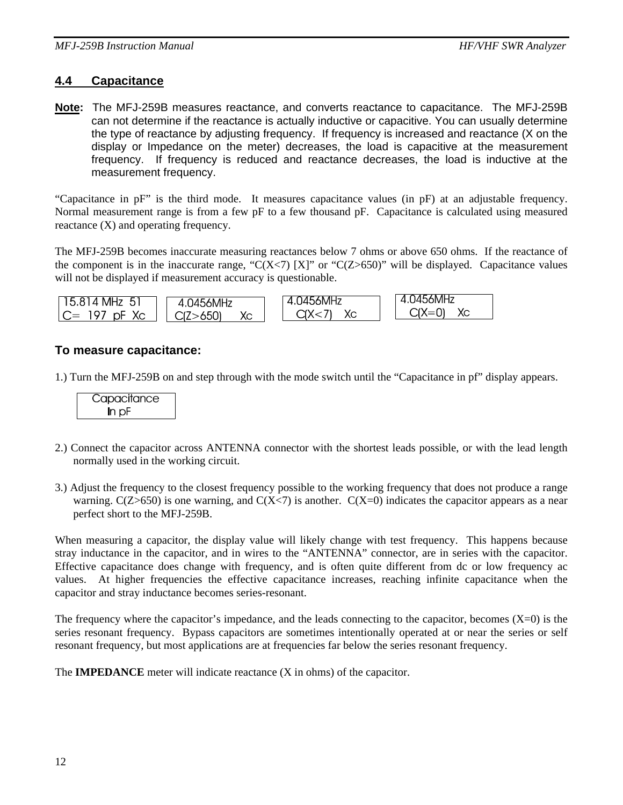# **4.4 Capacitance**

**Note:** The MFJ-259B measures reactance, and converts reactance to capacitance. The MFJ-259B can not determine if the reactance is actually inductive or capacitive. You can usually determine the type of reactance by adjusting frequency. If frequency is increased and reactance (X on the display or Impedance on the meter) decreases, the load is capacitive at the measurement frequency. If frequency is reduced and reactance decreases, the load is inductive at the measurement frequency.

"Capacitance in pF" is the third mode. It measures capacitance values (in pF) at an adjustable frequency. Normal measurement range is from a few pF to a few thousand pF. Capacitance is calculated using measured reactance (X) and operating frequency.

The MFJ-259B becomes inaccurate measuring reactances below 7 ohms or above 650 ohms. If the reactance of the component is in the inaccurate range, " $C(X\le 7)$  [X]" or " $C(Z>650)$ " will be displayed. Capacitance values will not be displayed if measurement accuracy is questionable.



# **To measure capacitance:**

1.) Turn the MFJ-259B on and step through with the mode switch until the "Capacitance in pf" display appears.



- 2.) Connect the capacitor across ANTENNA connector with the shortest leads possible, or with the lead length normally used in the working circuit.
- 3.) Adjust the frequency to the closest frequency possible to the working frequency that does not produce a range warning.  $C(Z>650)$  is one warning, and  $C(X<7)$  is another.  $C(X=0)$  indicates the capacitor appears as a near perfect short to the MFJ-259B.

When measuring a capacitor, the display value will likely change with test frequency. This happens because stray inductance in the capacitor, and in wires to the "ANTENNA" connector, are in series with the capacitor. Effective capacitance does change with frequency, and is often quite different from dc or low frequency ac values. At higher frequencies the effective capacitance increases, reaching infinite capacitance when the capacitor and stray inductance becomes series-resonant.

The frequency where the capacitor's impedance, and the leads connecting to the capacitor, becomes  $(X=0)$  is the series resonant frequency. Bypass capacitors are sometimes intentionally operated at or near the series or self resonant frequency, but most applications are at frequencies far below the series resonant frequency.

The **IMPEDANCE** meter will indicate reactance (X in ohms) of the capacitor.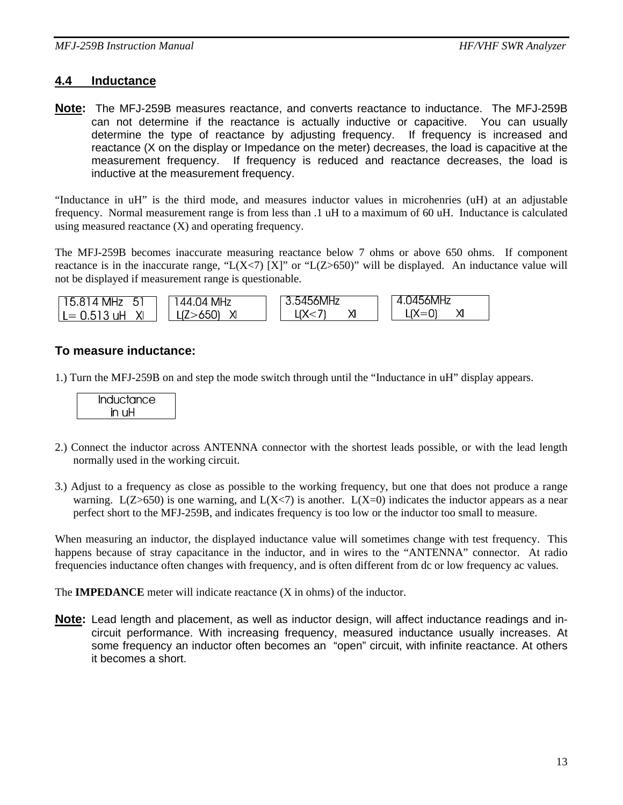### **4.4 Inductance**

**Note:** The MFJ-259B measures reactance, and converts reactance to inductance. The MFJ-259B can not determine if the reactance is actually inductive or capacitive. You can usually determine the type of reactance by adjusting frequency. If frequency is increased and reactance (X on the display or Impedance on the meter) decreases, the load is capacitive at the measurement frequency. If frequency is reduced and reactance decreases, the load is inductive at the measurement frequency.

"Inductance in uH" is the third mode, and measures inductor values in microhenries (uH) at an adjustable frequency. Normal measurement range is from less than .1 uH to a maximum of 60 uH. Inductance is calculated using measured reactance (X) and operating frequency.

The MFJ-259B becomes inaccurate measuring reactance below 7 ohms or above 650 ohms. If component reactance is in the inaccurate range, " $L(X\le 7)$  [X]" or " $L(Z\ge 650)$ " will be displayed. An inductance value will not be displayed if measurement range is questionable.

| MH7<br><b>.</b><br>$\overline{\phantom{a}}$<br>X11 | MHz<br>$\overline{ }$<br>IД | 5456MHz | 6МH<br>. . |
|----------------------------------------------------|-----------------------------|---------|------------|
| Χl<br>1Н<br>$= 1$                                  | Χl                          |         | Χl         |

# **To measure inductance:**

1.) Turn the MFJ-259B on and step the mode switch through until the "Inductance in uH" display appears.



- 2.) Connect the inductor across ANTENNA connector with the shortest leads possible, or with the lead length normally used in the working circuit.
- 3.) Adjust to a frequency as close as possible to the working frequency, but one that does not produce a range warning. L(Z>650) is one warning, and L(X<7) is another. L(X=0) indicates the inductor appears as a near perfect short to the MFJ-259B, and indicates frequency is too low or the inductor too small to measure.

When measuring an inductor, the displayed inductance value will sometimes change with test frequency. This happens because of stray capacitance in the inductor, and in wires to the "ANTENNA" connector. At radio frequencies inductance often changes with frequency, and is often different from dc or low frequency ac values.

The **IMPEDANCE** meter will indicate reactance (X in ohms) of the inductor.

**Note:** Lead length and placement, as well as inductor design, will affect inductance readings and incircuit performance. With increasing frequency, measured inductance usually increases. At some frequency an inductor often becomes an "open" circuit, with infinite reactance. At others it becomes a short.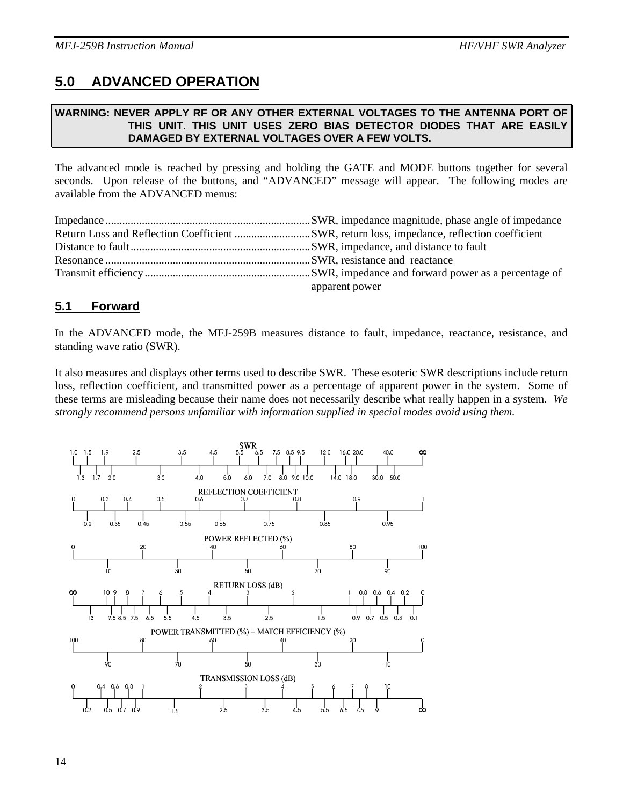# **5.0 ADVANCED OPERATION**

### **WARNING: NEVER APPLY RF OR ANY OTHER EXTERNAL VOLTAGES TO THE ANTENNA PORT OF THIS UNIT. THIS UNIT USES ZERO BIAS DETECTOR DIODES THAT ARE EASILY DAMAGED BY EXTERNAL VOLTAGES OVER A FEW VOLTS.**

The advanced mode is reached by pressing and holding the GATE and MODE buttons together for several seconds. Upon release of the buttons, and "ADVANCED" message will appear. The following modes are available from the ADVANCED menus:

| apparent power |
|----------------|

# **5.1 Forward**

In the ADVANCED mode, the MFJ-259B measures distance to fault, impedance, reactance, resistance, and standing wave ratio (SWR).

It also measures and displays other terms used to describe SWR. These esoteric SWR descriptions include return loss, reflection coefficient, and transmitted power as a percentage of apparent power in the system. Some of these terms are misleading because their name does not necessarily describe what really happen in a system. *We strongly recommend persons unfamiliar with information supplied in special modes avoid using them.*

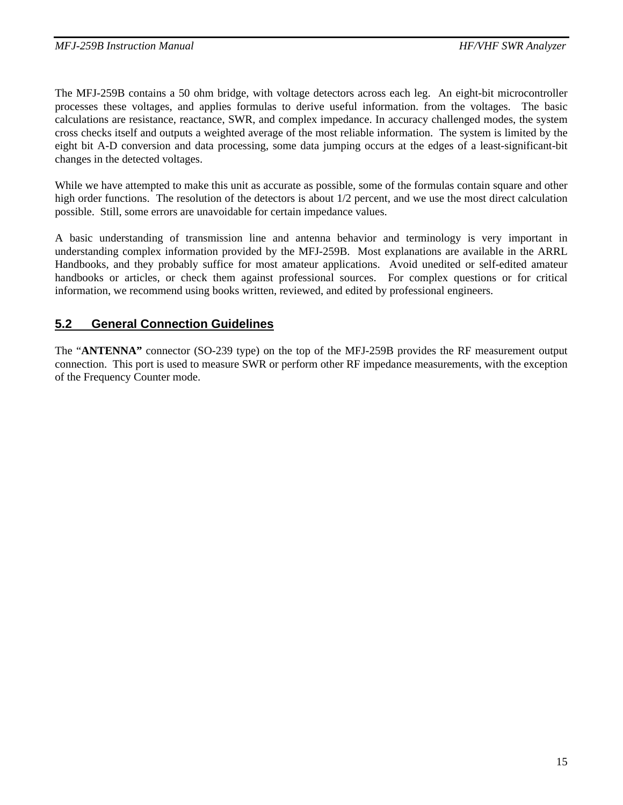The MFJ-259B contains a 50 ohm bridge, with voltage detectors across each leg. An eight-bit microcontroller processes these voltages, and applies formulas to derive useful information. from the voltages. The basic calculations are resistance, reactance, SWR, and complex impedance. In accuracy challenged modes, the system cross checks itself and outputs a weighted average of the most reliable information. The system is limited by the eight bit A-D conversion and data processing, some data jumping occurs at the edges of a least-significant-bit changes in the detected voltages.

While we have attempted to make this unit as accurate as possible, some of the formulas contain square and other high order functions. The resolution of the detectors is about  $1/2$  percent, and we use the most direct calculation possible. Still, some errors are unavoidable for certain impedance values.

A basic understanding of transmission line and antenna behavior and terminology is very important in understanding complex information provided by the MFJ-259B. Most explanations are available in the ARRL Handbooks, and they probably suffice for most amateur applications. Avoid unedited or self-edited amateur handbooks or articles, or check them against professional sources. For complex questions or for critical information, we recommend using books written, reviewed, and edited by professional engineers.

# **5.2 General Connection Guidelines**

The "**ANTENNA"** connector (SO-239 type) on the top of the MFJ-259B provides the RF measurement output connection. This port is used to measure SWR or perform other RF impedance measurements, with the exception of the Frequency Counter mode.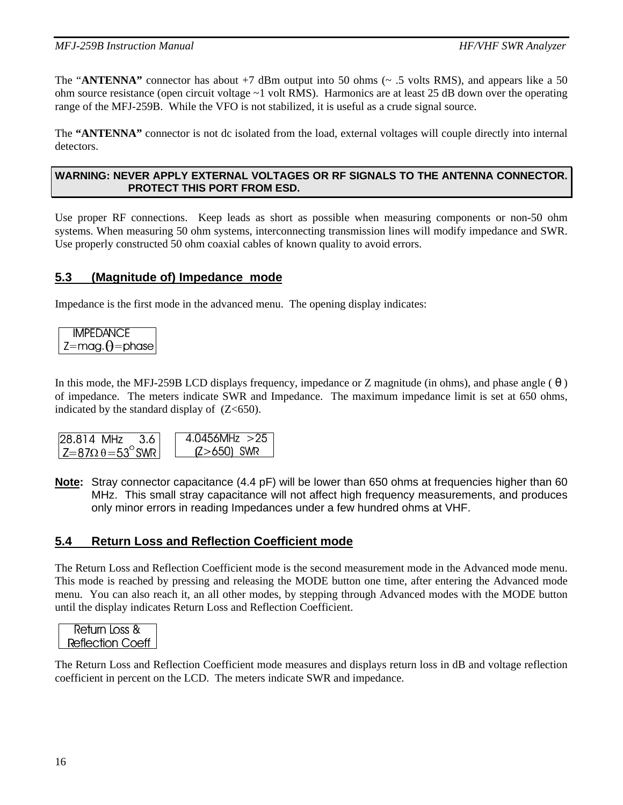The "**ANTENNA"** connector has about +7 dBm output into 50 ohms (~ .5 volts RMS), and appears like a 50 ohm source resistance (open circuit voltage ~1 volt RMS). Harmonics are at least 25 dB down over the operating range of the MFJ-259B. While the VFO is not stabilized, it is useful as a crude signal source.

The **"ANTENNA"** connector is not dc isolated from the load, external voltages will couple directly into internal detectors.

### **WARNING: NEVER APPLY EXTERNAL VOLTAGES OR RF SIGNALS TO THE ANTENNA CONNECTOR. PROTECT THIS PORT FROM ESD.**

Use proper RF connections. Keep leads as short as possible when measuring components or non-50 ohm systems. When measuring 50 ohm systems, interconnecting transmission lines will modify impedance and SWR. Use properly constructed 50 ohm coaxial cables of known quality to avoid errors.

# **5.3 (Magnitude of) Impedance mode**

Impedance is the first mode in the advanced menu. The opening display indicates:

#### **IMPEDANCE**  $Z = mag. \theta = phase$

In this mode, the MFJ-259B LCD displays frequency, impedance or Z magnitude (in ohms), and phase angle ( θ ) of impedance. The meters indicate SWR and Impedance. The maximum impedance limit is set at 650 ohms, indicated by the standard display of  $(Z<650)$ .

| 28.814 MHz<br>$-3.6$                  | 4.0456MHz $>25$ |
|---------------------------------------|-----------------|
| $ Z=87\Omega \theta = 53^{\circ}$ SWR | $(Z>650)$ SWR   |

**Note:** Stray connector capacitance (4.4 pF) will be lower than 650 ohms at frequencies higher than 60 MHz. This small stray capacitance will not affect high frequency measurements, and produces only minor errors in reading Impedances under a few hundred ohms at VHF.

# **5.4 Return Loss and Reflection Coefficient mode**

The Return Loss and Reflection Coefficient mode is the second measurement mode in the Advanced mode menu. This mode is reached by pressing and releasing the MODE button one time, after entering the Advanced mode menu. You can also reach it, an all other modes, by stepping through Advanced modes with the MODE button until the display indicates Return Loss and Reflection Coefficient.

The Return Loss and Reflection Coefficient mode measures and displays return loss in dB and voltage reflection coefficient in percent on the LCD. The meters indicate SWR and impedance.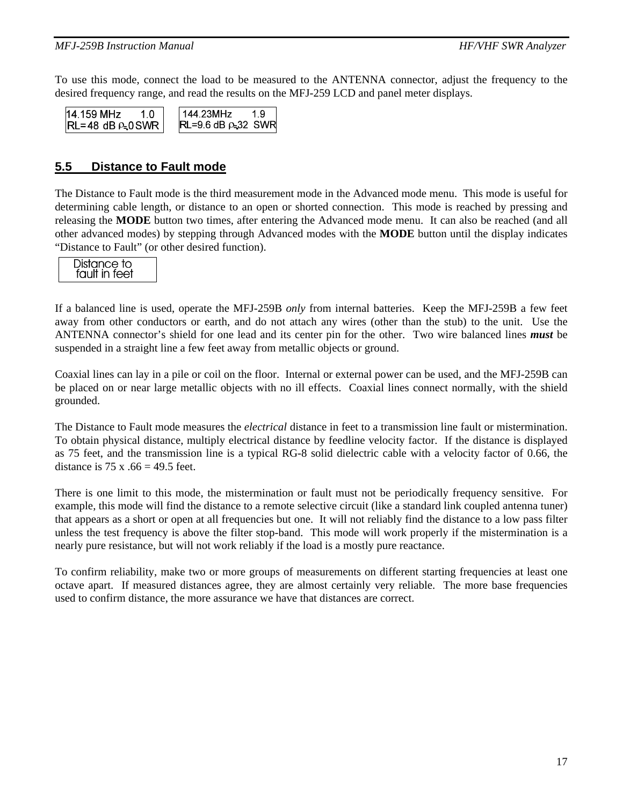To use this mode, connect the load to be measured to the ANTENNA connector, adjust the frequency to the desired frequency range, and read the results on the MFJ-259 LCD and panel meter displays.



# **5.5 Distance to Fault mode**

The Distance to Fault mode is the third measurement mode in the Advanced mode menu. This mode is useful for determining cable length, or distance to an open or shorted connection. This mode is reached by pressing and releasing the **MODE** button two times, after entering the Advanced mode menu. It can also be reached (and all other advanced modes) by stepping through Advanced modes with the **MODE** button until the display indicates "Distance to Fault" (or other desired function).

| Distance to<br>fault in feet |
|------------------------------|
|------------------------------|

If a balanced line is used, operate the MFJ-259B *only* from internal batteries. Keep the MFJ-259B a few feet away from other conductors or earth, and do not attach any wires (other than the stub) to the unit. Use the ANTENNA connector's shield for one lead and its center pin for the other. Two wire balanced lines *must* be suspended in a straight line a few feet away from metallic objects or ground.

Coaxial lines can lay in a pile or coil on the floor. Internal or external power can be used, and the MFJ-259B can be placed on or near large metallic objects with no ill effects. Coaxial lines connect normally, with the shield grounded.

The Distance to Fault mode measures the *electrical* distance in feet to a transmission line fault or mistermination. To obtain physical distance, multiply electrical distance by feedline velocity factor. If the distance is displayed as 75 feet, and the transmission line is a typical RG-8 solid dielectric cable with a velocity factor of 0.66, the distance is  $75 \times .66 = 49.5$  feet.

There is one limit to this mode, the mistermination or fault must not be periodically frequency sensitive. For example, this mode will find the distance to a remote selective circuit (like a standard link coupled antenna tuner) that appears as a short or open at all frequencies but one. It will not reliably find the distance to a low pass filter unless the test frequency is above the filter stop-band. This mode will work properly if the mistermination is a nearly pure resistance, but will not work reliably if the load is a mostly pure reactance.

To confirm reliability, make two or more groups of measurements on different starting frequencies at least one octave apart. If measured distances agree, they are almost certainly very reliable. The more base frequencies used to confirm distance, the more assurance we have that distances are correct.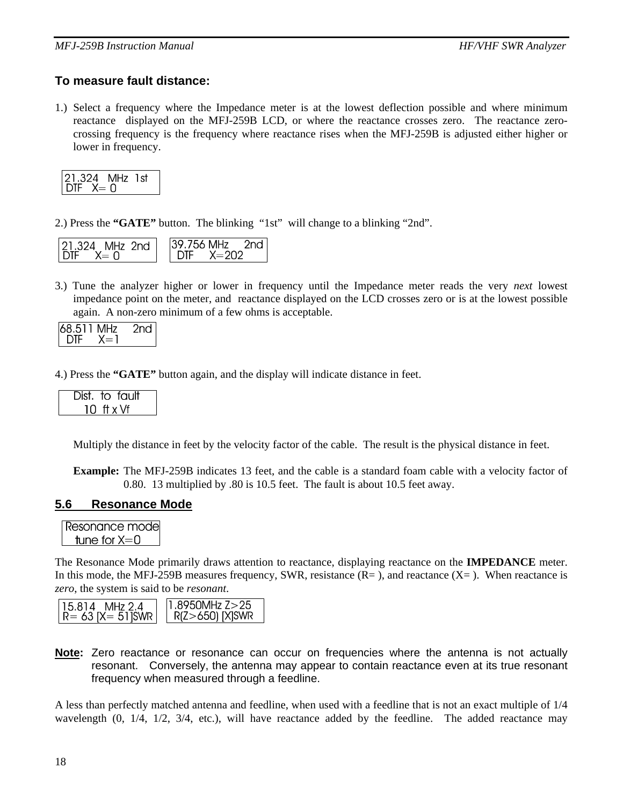# **To measure fault distance:**

1.) Select a frequency where the Impedance meter is at the lowest deflection possible and where minimum reactance displayed on the MFJ-259B LCD, or where the reactance crosses zero. The reactance zerocrossing frequency is the frequency where reactance rises when the MFJ-259B is adjusted either higher or lower in frequency.



2.) Press the **"GATE"** button. The blinking "1st" will change to a blinking "2nd".



3.) Tune the analyzer higher or lower in frequency until the Impedance meter reads the very *next* lowest impedance point on the meter, and reactance displayed on the LCD crosses zero or is at the lowest possible again. A non-zero minimum of a few ohms is acceptable.

| 58.511 MHz<br>- <b>1</b> ) I H |  |
|--------------------------------|--|
|                                |  |

4.) Press the **"GATE"** button again, and the display will indicate distance in feet.

| Dist. to fault               |  |
|------------------------------|--|
| $10 \text{ ft} \times$<br>Vf |  |

Multiply the distance in feet by the velocity factor of the cable. The result is the physical distance in feet.

**Example:** The MFJ-259B indicates 13 feet, and the cable is a standard foam cable with a velocity factor of 0.80. 13 multiplied by .80 is 10.5 feet. The fault is about 10.5 feet away.

### **5.6 Resonance Mode**



The Resonance Mode primarily draws attention to reactance, displaying reactance on the **IMPEDANCE** meter. In this mode, the MFJ-259B measures frequency, SWR, resistance  $(R=)$ , and reactance  $(X=)$ . When reactance is *zero*, the system is said to be *resonant*.

| 115.814 MHz 2.4     | $1.8950MHz$ 7 $>$ 25 |
|---------------------|----------------------|
| $R = 63$ [X= 51]SWR | $R(Z>650)$ [X]SWR    |

**Note:** Zero reactance or resonance can occur on frequencies where the antenna is not actually resonant. Conversely, the antenna may appear to contain reactance even at its true resonant frequency when measured through a feedline.

A less than perfectly matched antenna and feedline, when used with a feedline that is not an exact multiple of 1/4 wavelength  $(0, 1/4, 1/2, 3/4,$  etc.), will have reactance added by the feedline. The added reactance may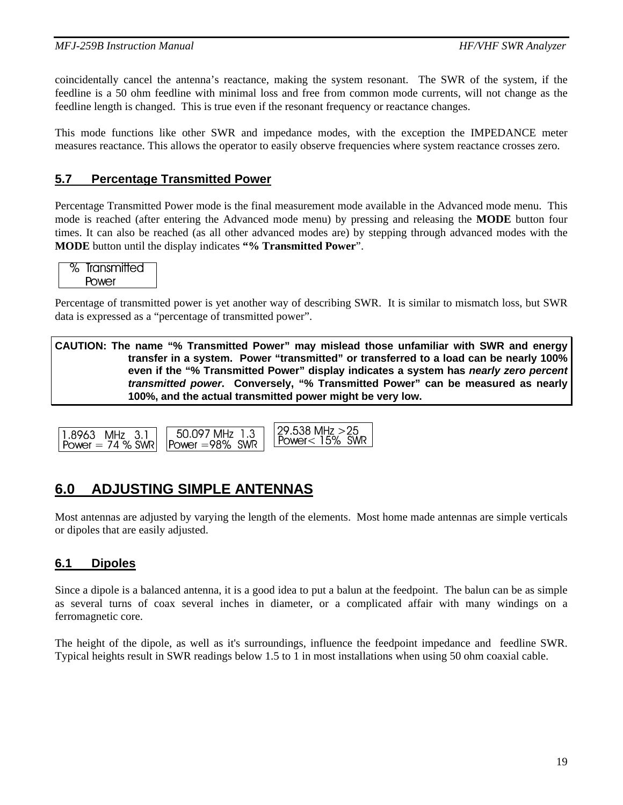coincidentally cancel the antenna's reactance, making the system resonant. The SWR of the system, if the feedline is a 50 ohm feedline with minimal loss and free from common mode currents, will not change as the feedline length is changed. This is true even if the resonant frequency or reactance changes.

This mode functions like other SWR and impedance modes, with the exception the IMPEDANCE meter measures reactance. This allows the operator to easily observe frequencies where system reactance crosses zero.

# **5.7 Percentage Transmitted Power**

Percentage Transmitted Power mode is the final measurement mode available in the Advanced mode menu. This mode is reached (after entering the Advanced mode menu) by pressing and releasing the **MODE** button four times. It can also be reached (as all other advanced modes are) by stepping through advanced modes with the **MODE** button until the display indicates **"% Transmitted Power**".

| % Transmitted |  |
|---------------|--|
| Power         |  |
|               |  |

Percentage of transmitted power is yet another way of describing SWR. It is similar to mismatch loss, but SWR data is expressed as a "percentage of transmitted power".

**CAUTION: The name "% Transmitted Power" may mislead those unfamiliar with SWR and energy transfer in a system. Power "transmitted" or transferred to a load can be nearly 100% even if the "% Transmitted Power" display indicates a system has** *nearly zero percent transmitted power***. Conversely, "% Transmitted Power" can be measured as nearly 100%, and the actual transmitted power might be very low.**

|                                          |                | $ 29.538 \text{ MHz} > 25$ |
|------------------------------------------|----------------|----------------------------|
| $ 1.8963$ MHz 3.1                        | 50.097 MHz 1.3 | $ Power < 15\%$ SWR $ $    |
| $ $ Power = 74 % SWR $ $ Power = 98% SWR |                |                            |

# **6.0 ADJUSTING SIMPLE ANTENNAS**

Most antennas are adjusted by varying the length of the elements. Most home made antennas are simple verticals or dipoles that are easily adjusted.

# **6.1 Dipoles**

Since a dipole is a balanced antenna, it is a good idea to put a balun at the feedpoint. The balun can be as simple as several turns of coax several inches in diameter, or a complicated affair with many windings on a ferromagnetic core.

The height of the dipole, as well as it's surroundings, influence the feedpoint impedance and feedline SWR. Typical heights result in SWR readings below 1.5 to 1 in most installations when using 50 ohm coaxial cable.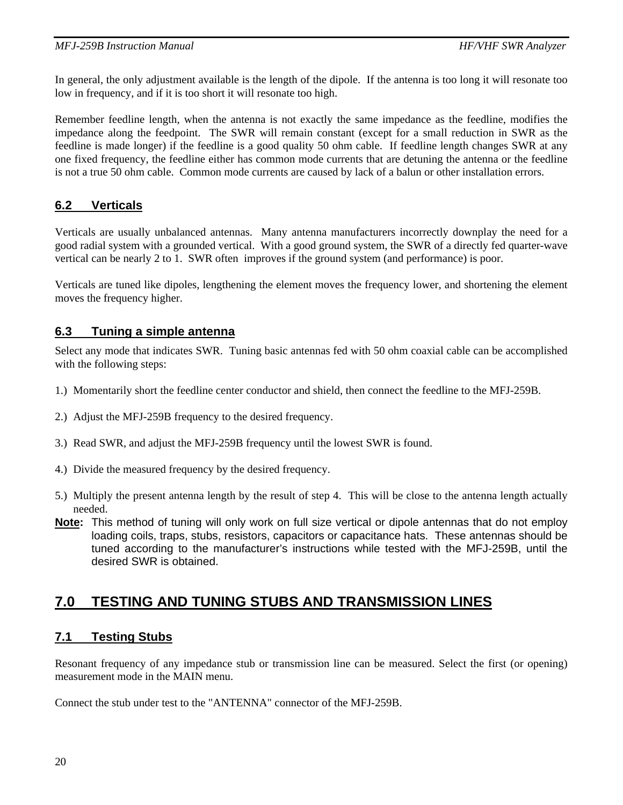In general, the only adjustment available is the length of the dipole. If the antenna is too long it will resonate too low in frequency, and if it is too short it will resonate too high.

Remember feedline length, when the antenna is not exactly the same impedance as the feedline, modifies the impedance along the feedpoint. The SWR will remain constant (except for a small reduction in SWR as the feedline is made longer) if the feedline is a good quality 50 ohm cable. If feedline length changes SWR at any one fixed frequency, the feedline either has common mode currents that are detuning the antenna or the feedline is not a true 50 ohm cable. Common mode currents are caused by lack of a balun or other installation errors.

# **6.2 Verticals**

Verticals are usually unbalanced antennas. Many antenna manufacturers incorrectly downplay the need for a good radial system with a grounded vertical. With a good ground system, the SWR of a directly fed quarter-wave vertical can be nearly 2 to 1. SWR often improves if the ground system (and performance) is poor.

Verticals are tuned like dipoles, lengthening the element moves the frequency lower, and shortening the element moves the frequency higher.

# **6.3 Tuning a simple antenna**

Select any mode that indicates SWR. Tuning basic antennas fed with 50 ohm coaxial cable can be accomplished with the following steps:

- 1.) Momentarily short the feedline center conductor and shield, then connect the feedline to the MFJ-259B.
- 2.) Adjust the MFJ-259B frequency to the desired frequency.
- 3.) Read SWR, and adjust the MFJ-259B frequency until the lowest SWR is found.
- 4.) Divide the measured frequency by the desired frequency.
- 5.) Multiply the present antenna length by the result of step 4. This will be close to the antenna length actually needed.
- **Note:** This method of tuning will only work on full size vertical or dipole antennas that do not employ loading coils, traps, stubs, resistors, capacitors or capacitance hats. These antennas should be tuned according to the manufacturer's instructions while tested with the MFJ-259B, until the desired SWR is obtained.

# **7.0 TESTING AND TUNING STUBS AND TRANSMISSION LINES**

# **7.1 Testing Stubs**

Resonant frequency of any impedance stub or transmission line can be measured. Select the first (or opening) measurement mode in the MAIN menu.

Connect the stub under test to the "ANTENNA" connector of the MFJ-259B.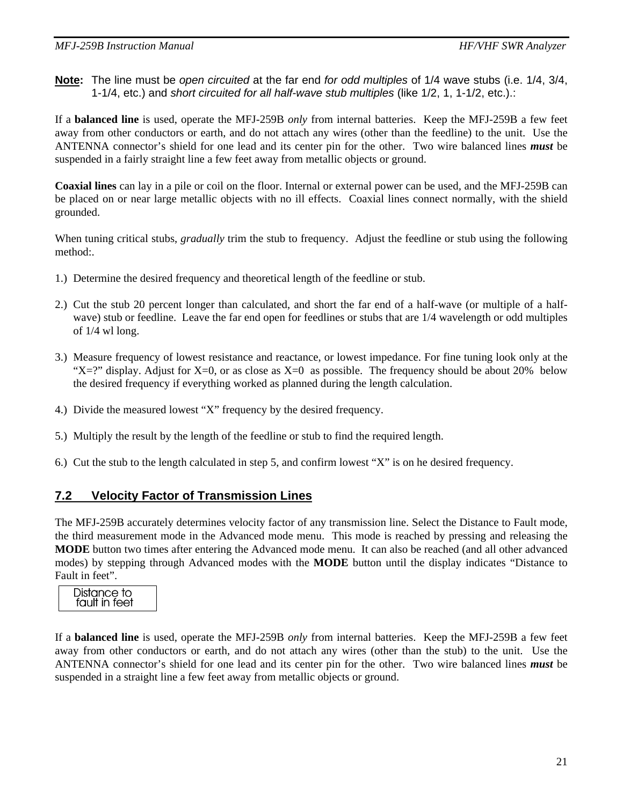**Note:** The line must be *open circuited* at the far end *for odd multiples* of 1/4 wave stubs (i.e. 1/4, 3/4, 1-1/4, etc.) and *short circuited for all half-wave stub multiples* (like 1/2, 1, 1-1/2, etc.).:

If a **balanced line** is used, operate the MFJ-259B *only* from internal batteries. Keep the MFJ-259B a few feet away from other conductors or earth, and do not attach any wires (other than the feedline) to the unit. Use the ANTENNA connector's shield for one lead and its center pin for the other. Two wire balanced lines *must* be suspended in a fairly straight line a few feet away from metallic objects or ground.

**Coaxial lines** can lay in a pile or coil on the floor. Internal or external power can be used, and the MFJ-259B can be placed on or near large metallic objects with no ill effects. Coaxial lines connect normally, with the shield grounded.

When tuning critical stubs, *gradually* trim the stub to frequency. Adjust the feedline or stub using the following method:.

- 1.) Determine the desired frequency and theoretical length of the feedline or stub.
- 2.) Cut the stub 20 percent longer than calculated, and short the far end of a half-wave (or multiple of a halfwave) stub or feedline. Leave the far end open for feedlines or stubs that are 1/4 wavelength or odd multiples of 1/4 wl long.
- 3.) Measure frequency of lowest resistance and reactance, or lowest impedance. For fine tuning look only at the " $X =$ ?" display. Adjust for  $X = 0$ , or as close as  $X = 0$  as possible. The frequency should be about 20% below the desired frequency if everything worked as planned during the length calculation.
- 4.) Divide the measured lowest "X" frequency by the desired frequency.
- 5.) Multiply the result by the length of the feedline or stub to find the required length.
- 6.) Cut the stub to the length calculated in step 5, and confirm lowest "X" is on he desired frequency.

### **7.2 Velocity Factor of Transmission Lines**

The MFJ-259B accurately determines velocity factor of any transmission line. Select the Distance to Fault mode, the third measurement mode in the Advanced mode menu. This mode is reached by pressing and releasing the **MODE** button two times after entering the Advanced mode menu. It can also be reached (and all other advanced modes) by stepping through Advanced modes with the **MODE** button until the display indicates "Distance to Fault in feet".

|--|

If a **balanced line** is used, operate the MFJ-259B *only* from internal batteries. Keep the MFJ-259B a few feet away from other conductors or earth, and do not attach any wires (other than the stub) to the unit. Use the ANTENNA connector's shield for one lead and its center pin for the other. Two wire balanced lines *must* be suspended in a straight line a few feet away from metallic objects or ground.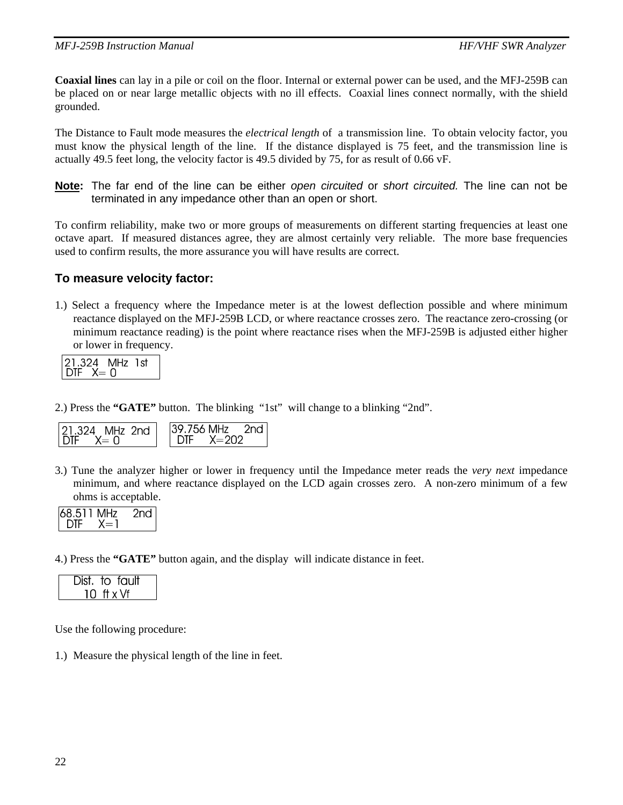**Coaxial lines** can lay in a pile or coil on the floor. Internal or external power can be used, and the MFJ-259B can be placed on or near large metallic objects with no ill effects. Coaxial lines connect normally, with the shield grounded.

The Distance to Fault mode measures the *electrical length* of a transmission line. To obtain velocity factor, you must know the physical length of the line. If the distance displayed is 75 feet, and the transmission line is actually 49.5 feet long, the velocity factor is 49.5 divided by 75, for as result of 0.66 vF.

**Note:** The far end of the line can be either *open circuited* or *short circuited.* The line can not be terminated in any impedance other than an open or short.

To confirm reliability, make two or more groups of measurements on different starting frequencies at least one octave apart. If measured distances agree, they are almost certainly very reliable. The more base frequencies used to confirm results, the more assurance you will have results are correct.

# **To measure velocity factor:**

1.) Select a frequency where the Impedance meter is at the lowest deflection possible and where minimum reactance displayed on the MFJ-259B LCD, or where reactance crosses zero. The reactance zero-crossing (or minimum reactance reading) is the point where reactance rises when the MFJ-259B is adjusted either higher or lower in frequency.

| 124<br>ウトト<br>-17<br>IE. |
|--------------------------|
|--------------------------|

2.) Press the **"GATE"** button. The blinking "1st" will change to a blinking "2nd".

| $\vert$ 21.324 MHz 2nd | 139.756.MHz (<br>21 V J |
|------------------------|-------------------------|
| I DTE.<br>ר = x        | $Y = 202$               |

3.) Tune the analyzer higher or lower in frequency until the Impedance meter reads the *very next* impedance minimum, and where reactance displayed on the LCD again crosses zero. A non-zero minimum of a few ohms is acceptable.

| ، 511، | /IH / |  |
|--------|-------|--|
|        |       |  |

4.) Press the **"GATE"** button again, and the display will indicate distance in feet.

|  | Dist. to fault |
|--|----------------|
|  | IN ft x Vf     |

Use the following procedure:

1.) Measure the physical length of the line in feet.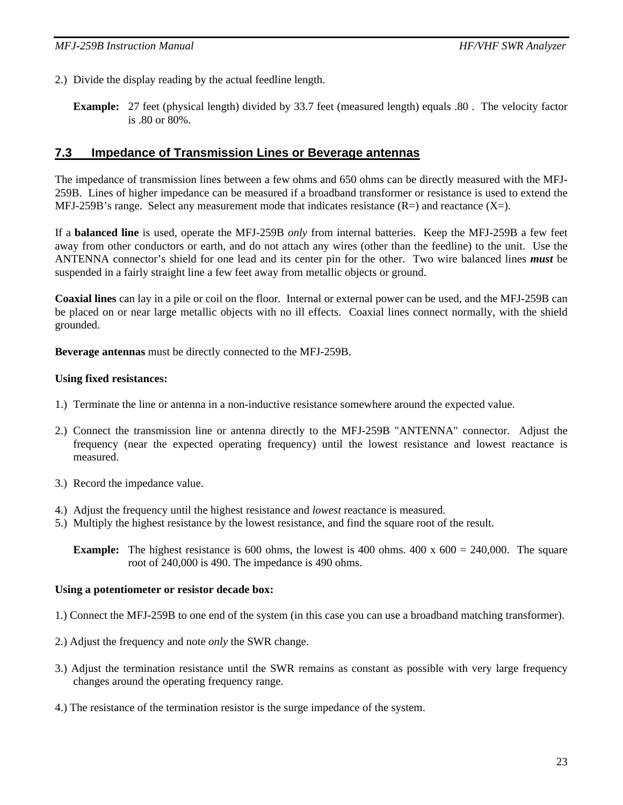- 2.) Divide the display reading by the actual feedline length.
	- **Example:** 27 feet (physical length) divided by 33.7 feet (measured length) equals .80. The velocity factor is .80 or 80%.

### **7.3 Impedance of Transmission Lines or Beverage antennas**

The impedance of transmission lines between a few ohms and 650 ohms can be directly measured with the MFJ-259B. Lines of higher impedance can be measured if a broadband transformer or resistance is used to extend the MFJ-259B's range. Select any measurement mode that indicates resistance  $(R=)$  and reactance  $(X=)$ .

If a **balanced line** is used, operate the MFJ-259B *only* from internal batteries. Keep the MFJ-259B a few feet away from other conductors or earth, and do not attach any wires (other than the feedline) to the unit. Use the ANTENNA connector's shield for one lead and its center pin for the other. Two wire balanced lines *must* be suspended in a fairly straight line a few feet away from metallic objects or ground.

**Coaxial lines** can lay in a pile or coil on the floor. Internal or external power can be used, and the MFJ-259B can be placed on or near large metallic objects with no ill effects. Coaxial lines connect normally, with the shield grounded.

**Beverage antennas** must be directly connected to the MFJ-259B.

#### **Using fixed resistances:**

- 1.) Terminate the line or antenna in a non-inductive resistance somewhere around the expected value.
- 2.) Connect the transmission line or antenna directly to the MFJ-259B "ANTENNA" connector. Adjust the frequency (near the expected operating frequency) until the lowest resistance and lowest reactance is measured.
- 3.) Record the impedance value.
- 4.) Adjust the frequency until the highest resistance and *lowest* reactance is measured.
- 5.) Multiply the highest resistance by the lowest resistance, and find the square root of the result.

**Example:** The highest resistance is 600 ohms, the lowest is 400 ohms.  $400 \times 600 = 240,000$ . The square root of 240,000 is 490. The impedance is 490 ohms.

#### **Using a potentiometer or resistor decade box:**

- 1.) Connect the MFJ-259B to one end of the system (in this case you can use a broadband matching transformer).
- 2.) Adjust the frequency and note *only* the SWR change.
- 3.) Adjust the termination resistance until the SWR remains as constant as possible with very large frequency changes around the operating frequency range.
- 4.) The resistance of the termination resistor is the surge impedance of the system.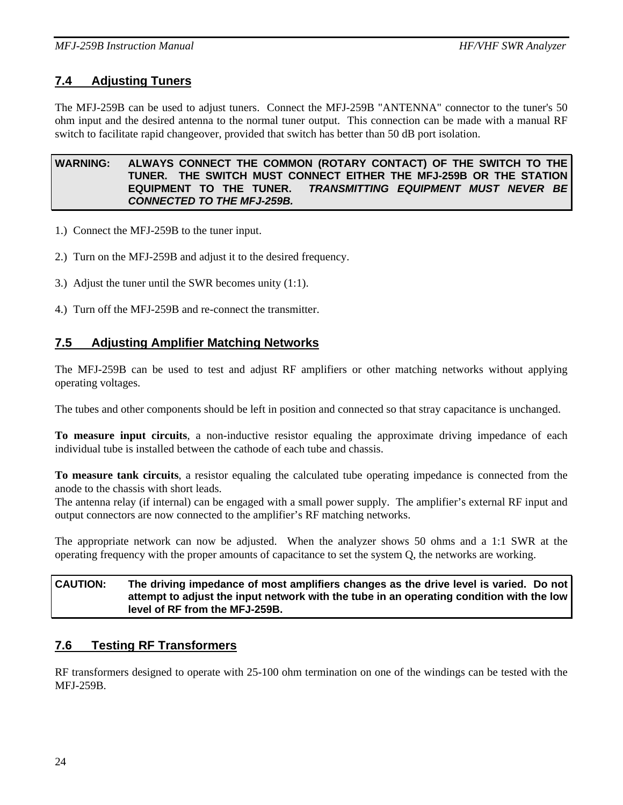# **7.4 Adjusting Tuners**

The MFJ-259B can be used to adjust tuners. Connect the MFJ-259B "ANTENNA" connector to the tuner's 50 ohm input and the desired antenna to the normal tuner output. This connection can be made with a manual RF switch to facilitate rapid changeover, provided that switch has better than 50 dB port isolation.

### **WARNING: ALWAYS CONNECT THE COMMON (ROTARY CONTACT) OF THE SWITCH TO THE TUNER. THE SWITCH MUST CONNECT EITHER THE MFJ-259B OR THE STATION EQUIPMENT TO THE TUNER.** *TRANSMITTING EQUIPMENT MUST NEVER BE CONNECTED TO THE MFJ-259B.*

- 1.) Connect the MFJ-259B to the tuner input.
- 2.) Turn on the MFJ-259B and adjust it to the desired frequency.
- 3.) Adjust the tuner until the SWR becomes unity (1:1).
- 4.) Turn off the MFJ-259B and re-connect the transmitter.

# **7.5 Adjusting Amplifier Matching Networks**

The MFJ-259B can be used to test and adjust RF amplifiers or other matching networks without applying operating voltages.

The tubes and other components should be left in position and connected so that stray capacitance is unchanged.

**To measure input circuits**, a non-inductive resistor equaling the approximate driving impedance of each individual tube is installed between the cathode of each tube and chassis.

**To measure tank circuits**, a resistor equaling the calculated tube operating impedance is connected from the anode to the chassis with short leads.

The antenna relay (if internal) can be engaged with a small power supply. The amplifier's external RF input and output connectors are now connected to the amplifier's RF matching networks.

The appropriate network can now be adjusted. When the analyzer shows 50 ohms and a 1:1 SWR at the operating frequency with the proper amounts of capacitance to set the system Q, the networks are working.

### **CAUTION: The driving impedance of most amplifiers changes as the drive level is varied. Do not attempt to adjust the input network with the tube in an operating condition with the low level of RF from the MFJ-259B.**

# **7.6 Testing RF Transformers**

RF transformers designed to operate with 25-100 ohm termination on one of the windings can be tested with the MFJ-259B.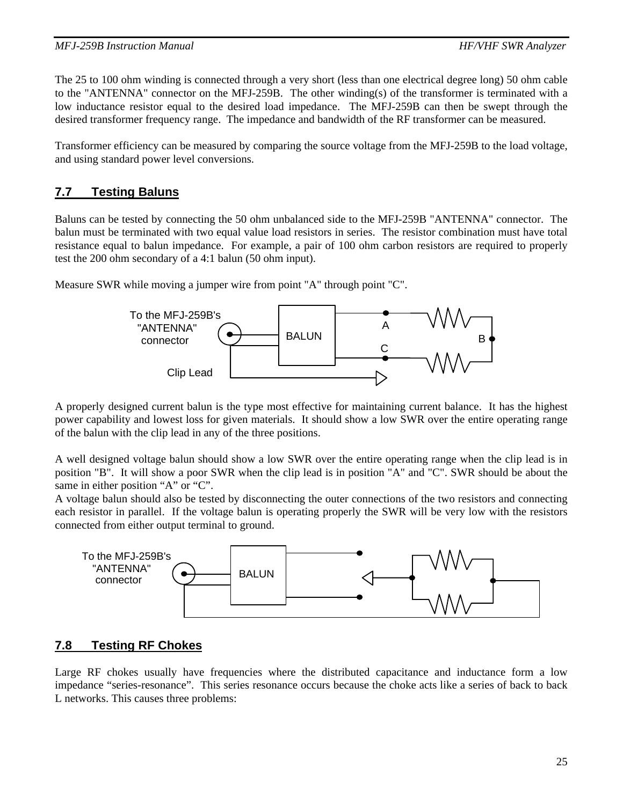#### *MFJ-259B Instruction Manual HF/VHF SWR Analyzer*

The 25 to 100 ohm winding is connected through a very short (less than one electrical degree long) 50 ohm cable to the "ANTENNA" connector on the MFJ-259B. The other winding(s) of the transformer is terminated with a low inductance resistor equal to the desired load impedance. The MFJ-259B can then be swept through the desired transformer frequency range. The impedance and bandwidth of the RF transformer can be measured.

Transformer efficiency can be measured by comparing the source voltage from the MFJ-259B to the load voltage, and using standard power level conversions.

# **7.7 Testing Baluns**

Baluns can be tested by connecting the 50 ohm unbalanced side to the MFJ-259B "ANTENNA" connector. The balun must be terminated with two equal value load resistors in series. The resistor combination must have total resistance equal to balun impedance. For example, a pair of 100 ohm carbon resistors are required to properly test the 200 ohm secondary of a 4:1 balun (50 ohm input).

Measure SWR while moving a jumper wire from point "A" through point "C".



A properly designed current balun is the type most effective for maintaining current balance. It has the highest power capability and lowest loss for given materials. It should show a low SWR over the entire operating range of the balun with the clip lead in any of the three positions.

A well designed voltage balun should show a low SWR over the entire operating range when the clip lead is in position "B". It will show a poor SWR when the clip lead is in position "A" and "C". SWR should be about the same in either position "A" or "C".

A voltage balun should also be tested by disconnecting the outer connections of the two resistors and connecting each resistor in parallel. If the voltage balun is operating properly the SWR will be very low with the resistors connected from either output terminal to ground.



# **7.8 Testing RF Chokes**

Large RF chokes usually have frequencies where the distributed capacitance and inductance form a low impedance "series-resonance". This series resonance occurs because the choke acts like a series of back to back L networks. This causes three problems: